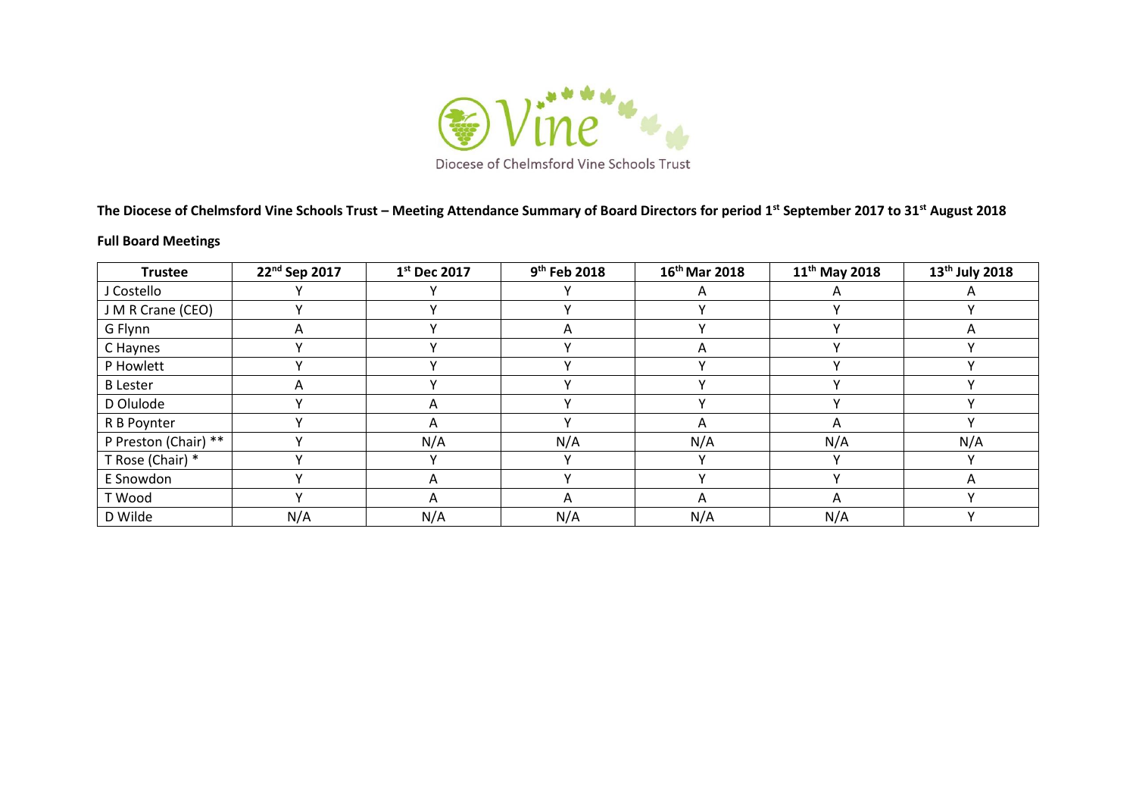

**The Diocese of Chelmsford Vine Schools Trust – Meeting Attendance Summary of Board Directors for period 1st September 2017 to 31st August 2018**

## **Full Board Meetings**

| <b>Trustee</b>       | 22nd Sep 2017 | 1st Dec 2017 | $9th$ Feb 2018 | 16 <sup>th</sup> Mar 2018 | 11 <sup>th</sup> May 2018 | 13 <sup>th</sup> July 2018 |
|----------------------|---------------|--------------|----------------|---------------------------|---------------------------|----------------------------|
| J Costello           |               |              |                | A                         |                           |                            |
| J M R Crane (CEO)    |               |              |                |                           |                           |                            |
| G Flynn              | Α             |              | Α              |                           |                           |                            |
| C Haynes             |               |              |                | A                         |                           |                            |
| P Howlett            |               |              |                | v                         |                           |                            |
| <b>B</b> Lester      | A             |              |                |                           |                           |                            |
| D Olulode            |               | A            |                |                           |                           |                            |
| R B Poynter          |               | A            |                | A                         | A                         |                            |
| P Preston (Chair) ** |               | N/A          | N/A            | N/A                       | N/A                       | N/A                        |
| T Rose (Chair) *     |               |              |                | v                         |                           |                            |
| E Snowdon            |               | A            |                |                           |                           | A                          |
| T Wood               |               | A            | Α              | A                         | A                         |                            |
| D Wilde              | N/A           | N/A          | N/A            | N/A                       | N/A                       |                            |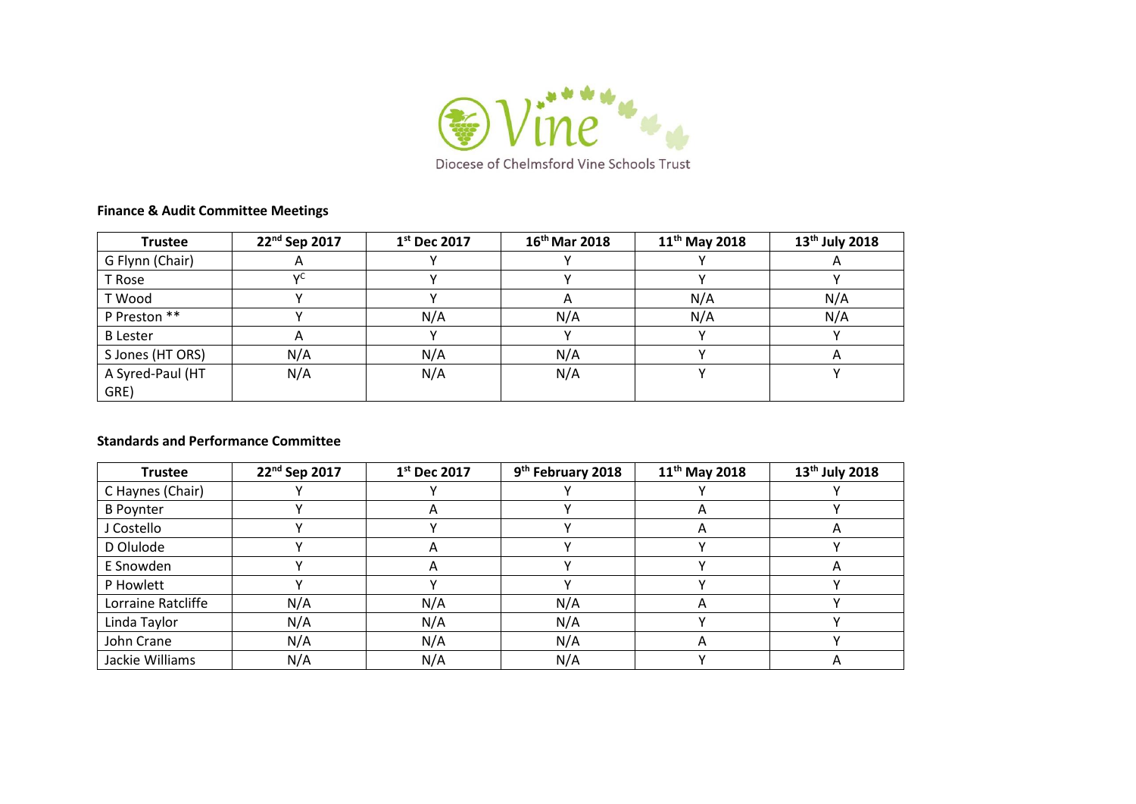

## **Finance & Audit Committee Meetings**

| <b>Trustee</b>   | 22 <sup>nd</sup> Sep 2017 | $1st$ Dec 2017 | $16^{th}$ Mar 2018 | $11^{th}$ May 2018 | 13 <sup>th</sup> July 2018 |
|------------------|---------------------------|----------------|--------------------|--------------------|----------------------------|
| G Flynn (Chair)  |                           |                |                    |                    | $\mathsf{H}$               |
| T Rose           | v                         |                |                    |                    |                            |
| T Wood           |                           |                | $\mathsf{A}$       | N/A                | N/A                        |
| P Preston **     |                           | N/A            | N/A                | N/A                | N/A                        |
| <b>B</b> Lester  | A                         |                |                    |                    |                            |
| S Jones (HT ORS) | N/A                       | N/A            | N/A                |                    | $\overline{A}$             |
| A Syred-Paul (HT | N/A                       | N/A            | N/A                |                    |                            |
| GRE)             |                           |                |                    |                    |                            |

## **Standards and Performance Committee**

| <b>Trustee</b>     | 22nd Sep 2017 | 1st Dec 2017 | 9 <sup>th</sup> February 2018 | $11^{th}$ May 2018 | 13 <sup>th</sup> July 2018 |
|--------------------|---------------|--------------|-------------------------------|--------------------|----------------------------|
| C Haynes (Chair)   |               |              |                               |                    |                            |
| <b>B</b> Poynter   |               |              |                               | ∼                  |                            |
| J Costello         |               |              |                               | A                  |                            |
| D Olulode          |               |              |                               |                    |                            |
| E Snowden          |               |              |                               |                    |                            |
| P Howlett          |               |              |                               |                    |                            |
| Lorraine Ratcliffe | N/A           | N/A          | N/A                           | A                  |                            |
| Linda Taylor       | N/A           | N/A          | N/A                           |                    |                            |
| John Crane         | N/A           | N/A          | N/A                           | A                  |                            |
| Jackie Williams    | N/A           | N/A          | N/A                           |                    |                            |